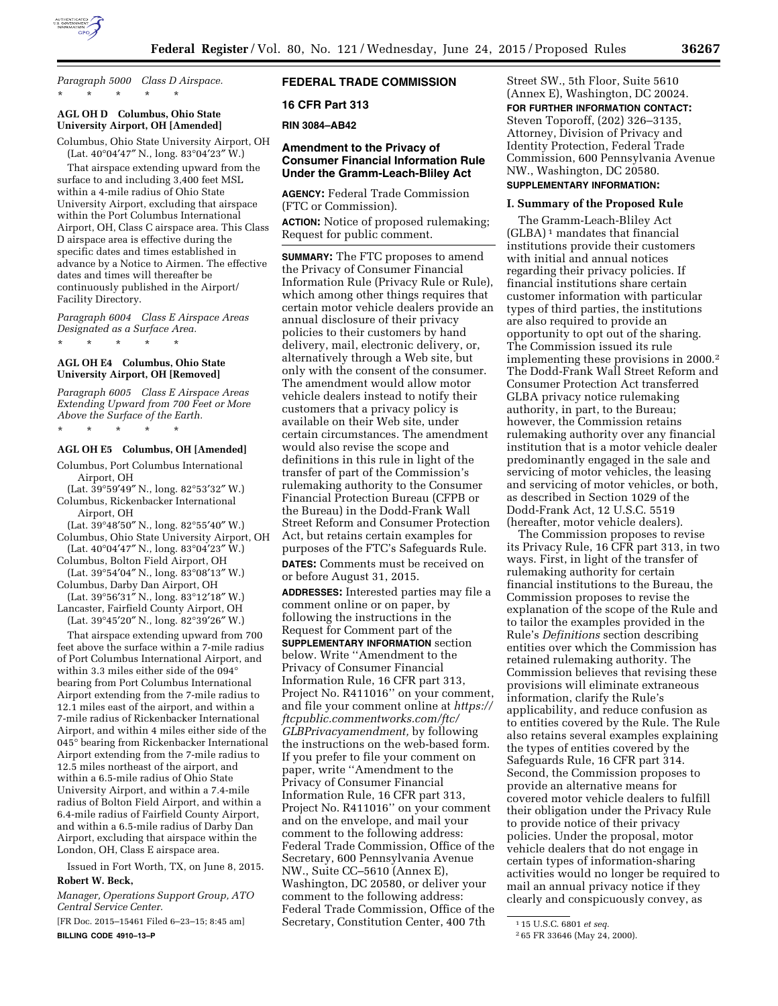

*Paragraph 5000 Class D Airspace.*  \* \* \* \* \*

# **AGL OH D Columbus, Ohio State University Airport, OH [Amended]**

Columbus, Ohio State University Airport, OH (Lat. 40°04′47″ N., long. 83°04′23″ W.)

That airspace extending upward from the surface to and including 3,400 feet MSL within a 4-mile radius of Ohio State University Airport, excluding that airspace within the Port Columbus International Airport, OH, Class C airspace area. This Class D airspace area is effective during the specific dates and times established in advance by a Notice to Airmen. The effective dates and times will thereafter be continuously published in the Airport/ Facility Directory.

*Paragraph 6004 Class E Airspace Areas Designated as a Surface Area.* 

\* \* \* \* \*

### **AGL OH E4 Columbus, Ohio State University Airport, OH [Removed]**

*Paragraph 6005 Class E Airspace Areas Extending Upward from 700 Feet or More Above the Surface of the Earth.* 

\* \* \* \* \*

# **AGL OH E5 Columbus, OH [Amended]**

Columbus, Port Columbus International Airport, OH

(Lat. 39°59′49″ N., long. 82°53′32″ W.) Columbus, Rickenbacker International Airport, OH

(Lat. 39°48′50″ N., long. 82°55′40″ W.) Columbus, Ohio State University Airport, OH

(Lat. 40°04′47″ N., long. 83°04′23″ W.) Columbus, Bolton Field Airport, OH

(Lat. 39°54′04″ N., long. 83°08′13″ W.) Columbus, Darby Dan Airport, OH

(Lat. 39°56′31″ N., long. 83°12′18″ W.) Lancaster, Fairfield County Airport, OH

(Lat. 39°45′20″ N., long. 82°39′26″ W.) That airspace extending upward from 700 feet above the surface within a 7-mile radius of Port Columbus International Airport, and within 3.3 miles either side of the 094° bearing from Port Columbus International Airport extending from the 7-mile radius to 12.1 miles east of the airport, and within a 7-mile radius of Rickenbacker International Airport, and within 4 miles either side of the 045° bearing from Rickenbacker International Airport extending from the 7-mile radius to 12.5 miles northeast of the airport, and within a 6.5-mile radius of Ohio State University Airport, and within a 7.4-mile radius of Bolton Field Airport, and within a 6.4-mile radius of Fairfield County Airport, and within a 6.5-mile radius of Darby Dan Airport, excluding that airspace within the London, OH, Class E airspace area.

Issued in Fort Worth, TX, on June 8, 2015.

# **Robert W. Beck,**

*Manager, Operations Support Group, ATO Central Service Center.* 

[FR Doc. 2015–15461 Filed 6–23–15; 8:45 am] **BILLING CODE 4910–13–P** 

# **FEDERAL TRADE COMMISSION**

### **16 CFR Part 313**

**RIN 3084–AB42** 

### **Amendment to the Privacy of Consumer Financial Information Rule Under the Gramm-Leach-Bliley Act**

**AGENCY:** Federal Trade Commission (FTC or Commission).

**ACTION:** Notice of proposed rulemaking; Request for public comment.

**SUMMARY:** The FTC proposes to amend the Privacy of Consumer Financial Information Rule (Privacy Rule or Rule), which among other things requires that certain motor vehicle dealers provide an annual disclosure of their privacy policies to their customers by hand delivery, mail, electronic delivery, or, alternatively through a Web site, but only with the consent of the consumer. The amendment would allow motor vehicle dealers instead to notify their customers that a privacy policy is available on their Web site, under certain circumstances. The amendment would also revise the scope and definitions in this rule in light of the transfer of part of the Commission's rulemaking authority to the Consumer Financial Protection Bureau (CFPB or the Bureau) in the Dodd-Frank Wall Street Reform and Consumer Protection Act, but retains certain examples for purposes of the FTC's Safeguards Rule. **DATES:** Comments must be received on or before August 31, 2015.

**ADDRESSES:** Interested parties may file a comment online or on paper, by following the instructions in the Request for Comment part of the **SUPPLEMENTARY INFORMATION** section below. Write ''Amendment to the Privacy of Consumer Financial Information Rule, 16 CFR part 313, Project No. R411016'' on your comment, and file your comment online at *[https://](https://ftcpublic.commentworks.com/ftc/GLBPrivacyamendment)  [ftcpublic.commentworks.com/ftc/](https://ftcpublic.commentworks.com/ftc/GLBPrivacyamendment) [GLBPrivacyamendment,](https://ftcpublic.commentworks.com/ftc/GLBPrivacyamendment)* by following the instructions on the web-based form. If you prefer to file your comment on paper, write ''Amendment to the Privacy of Consumer Financial Information Rule, 16 CFR part 313, Project No. R411016'' on your comment and on the envelope, and mail your comment to the following address: Federal Trade Commission, Office of the Secretary, 600 Pennsylvania Avenue NW., Suite CC–5610 (Annex E), Washington, DC 20580, or deliver your comment to the following address: Federal Trade Commission, Office of the Secretary, Constitution Center, 400 7th

Street SW., 5th Floor, Suite 5610 (Annex E), Washington, DC 20024. **FOR FURTHER INFORMATION CONTACT:**  Steven Toporoff, (202) 326–3135, Attorney, Division of Privacy and Identity Protection, Federal Trade Commission, 600 Pennsylvania Avenue NW., Washington, DC 20580.

# **SUPPLEMENTARY INFORMATION:**

### **I. Summary of the Proposed Rule**

The Gramm-Leach-Bliley Act (GLBA) 1 mandates that financial institutions provide their customers with initial and annual notices regarding their privacy policies. If financial institutions share certain customer information with particular types of third parties, the institutions are also required to provide an opportunity to opt out of the sharing. The Commission issued its rule implementing these provisions in 2000.2 The Dodd-Frank Wall Street Reform and Consumer Protection Act transferred GLBA privacy notice rulemaking authority, in part, to the Bureau; however, the Commission retains rulemaking authority over any financial institution that is a motor vehicle dealer predominantly engaged in the sale and servicing of motor vehicles, the leasing and servicing of motor vehicles, or both, as described in Section 1029 of the Dodd-Frank Act, 12 U.S.C. 5519 (hereafter, motor vehicle dealers).

The Commission proposes to revise its Privacy Rule, 16 CFR part 313, in two ways. First, in light of the transfer of rulemaking authority for certain financial institutions to the Bureau, the Commission proposes to revise the explanation of the scope of the Rule and to tailor the examples provided in the Rule's *Definitions* section describing entities over which the Commission has retained rulemaking authority. The Commission believes that revising these provisions will eliminate extraneous information, clarify the Rule's applicability, and reduce confusion as to entities covered by the Rule. The Rule also retains several examples explaining the types of entities covered by the Safeguards Rule, 16 CFR part 314. Second, the Commission proposes to provide an alternative means for covered motor vehicle dealers to fulfill their obligation under the Privacy Rule to provide notice of their privacy policies. Under the proposal, motor vehicle dealers that do not engage in certain types of information-sharing activities would no longer be required to mail an annual privacy notice if they clearly and conspicuously convey, as

<sup>1</sup> 15 U.S.C. 6801 *et seq.* 

<sup>2</sup> 65 FR 33646 (May 24, 2000).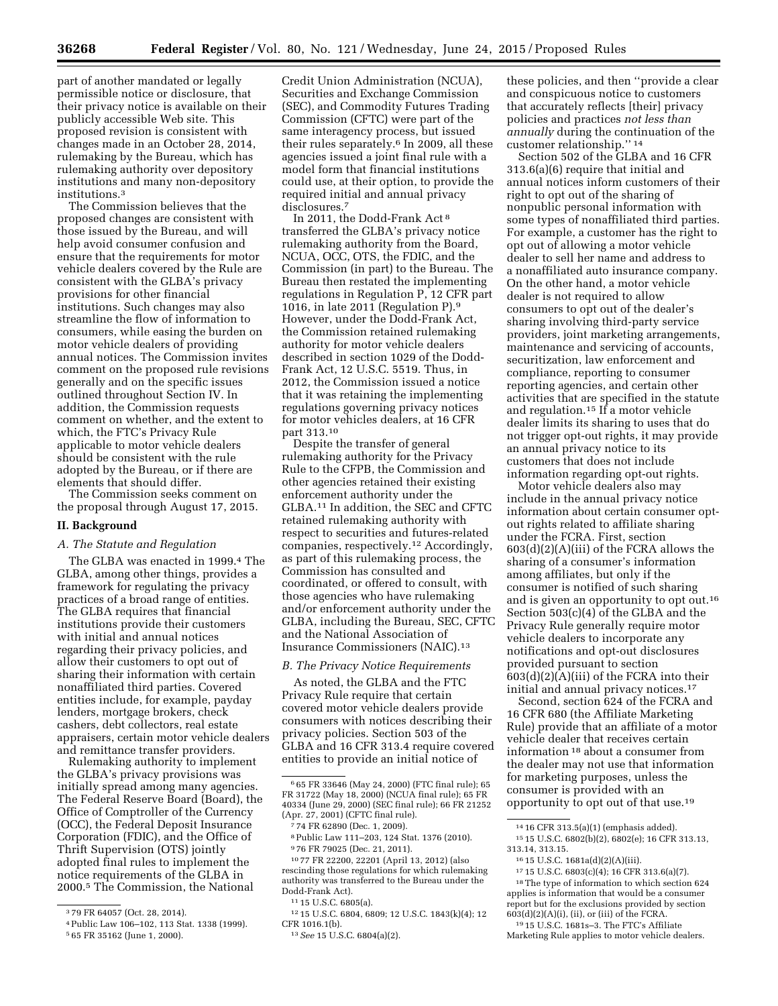part of another mandated or legally permissible notice or disclosure, that their privacy notice is available on their publicly accessible Web site. This proposed revision is consistent with changes made in an October 28, 2014, rulemaking by the Bureau, which has rulemaking authority over depository institutions and many non-depository institutions.3

The Commission believes that the proposed changes are consistent with those issued by the Bureau, and will help avoid consumer confusion and ensure that the requirements for motor vehicle dealers covered by the Rule are consistent with the GLBA's privacy provisions for other financial institutions. Such changes may also streamline the flow of information to consumers, while easing the burden on motor vehicle dealers of providing annual notices. The Commission invites comment on the proposed rule revisions generally and on the specific issues outlined throughout Section IV. In addition, the Commission requests comment on whether, and the extent to which, the FTC's Privacy Rule applicable to motor vehicle dealers should be consistent with the rule adopted by the Bureau, or if there are elements that should differ.

The Commission seeks comment on the proposal through August 17, 2015.

### **II. Background**

#### *A. The Statute and Regulation*

The GLBA was enacted in 1999.<sup>4</sup> The GLBA, among other things, provides a framework for regulating the privacy practices of a broad range of entities. The GLBA requires that financial institutions provide their customers with initial and annual notices regarding their privacy policies, and allow their customers to opt out of sharing their information with certain nonaffiliated third parties. Covered entities include, for example, payday lenders, mortgage brokers, check cashers, debt collectors, real estate appraisers, certain motor vehicle dealers and remittance transfer providers.

Rulemaking authority to implement the GLBA's privacy provisions was initially spread among many agencies. The Federal Reserve Board (Board), the Office of Comptroller of the Currency (OCC), the Federal Deposit Insurance Corporation (FDIC), and the Office of Thrift Supervision (OTS) jointly adopted final rules to implement the notice requirements of the GLBA in 2000.5 The Commission, the National

Credit Union Administration (NCUA), Securities and Exchange Commission (SEC), and Commodity Futures Trading Commission (CFTC) were part of the same interagency process, but issued their rules separately.<sup>6</sup> In 2009, all these agencies issued a joint final rule with a model form that financial institutions could use, at their option, to provide the required initial and annual privacy disclosures.7

In 2011, the Dodd-Frank Act 8 transferred the GLBA's privacy notice rulemaking authority from the Board, NCUA, OCC, OTS, the FDIC, and the Commission (in part) to the Bureau. The Bureau then restated the implementing regulations in Regulation P, 12 CFR part 1016, in late 2011 (Regulation P).9 However, under the Dodd-Frank Act, the Commission retained rulemaking authority for motor vehicle dealers described in section 1029 of the Dodd-Frank Act, 12 U.S.C. 5519. Thus, in 2012, the Commission issued a notice that it was retaining the implementing regulations governing privacy notices for motor vehicles dealers, at 16 CFR part 313.10

Despite the transfer of general rulemaking authority for the Privacy Rule to the CFPB, the Commission and other agencies retained their existing enforcement authority under the GLBA.11 In addition, the SEC and CFTC retained rulemaking authority with respect to securities and futures-related companies, respectively.12 Accordingly, as part of this rulemaking process, the Commission has consulted and coordinated, or offered to consult, with those agencies who have rulemaking and/or enforcement authority under the GLBA, including the Bureau, SEC, CFTC and the National Association of Insurance Commissioners (NAIC).13

#### *B. The Privacy Notice Requirements*

As noted, the GLBA and the FTC Privacy Rule require that certain covered motor vehicle dealers provide consumers with notices describing their privacy policies. Section 503 of the GLBA and 16 CFR 313.4 require covered entities to provide an initial notice of

12 15 U.S.C. 6804, 6809; 12 U.S.C. 1843(k)(4); 12 CFR 1016.1(b).

these policies, and then ''provide a clear and conspicuous notice to customers that accurately reflects [their] privacy policies and practices *not less than annually* during the continuation of the customer relationship.'' 14

Section 502 of the GLBA and 16 CFR 313.6(a)(6) require that initial and annual notices inform customers of their right to opt out of the sharing of nonpublic personal information with some types of nonaffiliated third parties. For example, a customer has the right to opt out of allowing a motor vehicle dealer to sell her name and address to a nonaffiliated auto insurance company. On the other hand, a motor vehicle dealer is not required to allow consumers to opt out of the dealer's sharing involving third-party service providers, joint marketing arrangements, maintenance and servicing of accounts, securitization, law enforcement and compliance, reporting to consumer reporting agencies, and certain other activities that are specified in the statute and regulation.15 If a motor vehicle dealer limits its sharing to uses that do not trigger opt-out rights, it may provide an annual privacy notice to its customers that does not include information regarding opt-out rights.

Motor vehicle dealers also may include in the annual privacy notice information about certain consumer optout rights related to affiliate sharing under the FCRA. First, section 603(d)(2)(A)(iii) of the FCRA allows the sharing of a consumer's information among affiliates, but only if the consumer is notified of such sharing and is given an opportunity to opt out.16 Section 503(c)(4) of the GLBA and the Privacy Rule generally require motor vehicle dealers to incorporate any notifications and opt-out disclosures provided pursuant to section 603(d)(2)(A)(iii) of the FCRA into their initial and annual privacy notices.17

Second, section 624 of the FCRA and 16 CFR 680 (the Affiliate Marketing Rule) provide that an affiliate of a motor vehicle dealer that receives certain information 18 about a consumer from the dealer may not use that information for marketing purposes, unless the consumer is provided with an opportunity to opt out of that use.19

15 15 U.S.C. 6802(b)(2), 6802(e); 16 CFR 313.13, 313.14, 313.15.

<sup>3</sup> 79 FR 64057 (Oct. 28, 2014).

<sup>4</sup>Public Law 106–102, 113 Stat. 1338 (1999).

<sup>5</sup> 65 FR 35162 (June 1, 2000).

<sup>6</sup> 65 FR 33646 (May 24, 2000) (FTC final rule); 65 FR 31722 (May 18, 2000) (NCUA final rule); 65 FR 40334 (June 29, 2000) (SEC final rule); 66 FR 21252 (Apr. 27, 2001) (CFTC final rule).

<sup>7</sup> 74 FR 62890 (Dec. 1, 2009).

<sup>8</sup>Public Law 111–203, 124 Stat. 1376 (2010). 9 76 FR 79025 (Dec. 21, 2011).

<sup>10</sup> 77 FR 22200, 22201 (April 13, 2012) (also rescinding those regulations for which rulemaking authority was transferred to the Bureau under the Dodd-Frank Act).

<sup>11</sup> 15 U.S.C. 6805(a).

<sup>13</sup>*See* 15 U.S.C. 6804(a)(2).

<sup>14</sup> 16 CFR 313.5(a)(1) (emphasis added).

<sup>16</sup> 15 U.S.C. 1681a(d)(2)(A)(iii).

<sup>17</sup> 15 U.S.C. 6803(c)(4); 16 CFR 313.6(a)(7).

 $^{\rm 18}\!$  The type of information to which section  $624$ applies is information that would be a consumer report but for the exclusions provided by section  $603(d)(2)(A)(i)$ , (ii), or (iii) of the FCRA.

<sup>19</sup> 15 U.S.C. 1681s–3. The FTC's Affiliate Marketing Rule applies to motor vehicle dealers.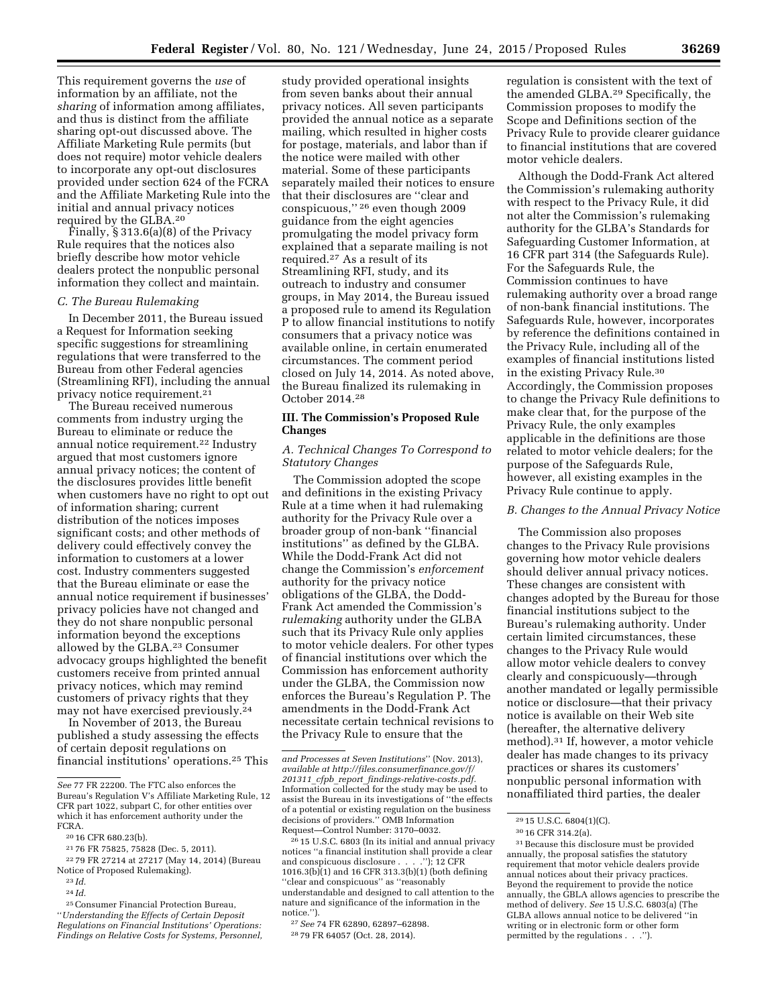This requirement governs the *use* of information by an affiliate, not the *sharing* of information among affiliates, and thus is distinct from the affiliate sharing opt-out discussed above. The Affiliate Marketing Rule permits (but does not require) motor vehicle dealers to incorporate any opt-out disclosures provided under section 624 of the FCRA and the Affiliate Marketing Rule into the initial and annual privacy notices

required by the GLBA.20 Finally, § 313.6(a)(8) of the Privacy Rule requires that the notices also briefly describe how motor vehicle dealers protect the nonpublic personal information they collect and maintain.

#### *C. The Bureau Rulemaking*

In December 2011, the Bureau issued a Request for Information seeking specific suggestions for streamlining regulations that were transferred to the Bureau from other Federal agencies (Streamlining RFI), including the annual privacy notice requirement.21

The Bureau received numerous comments from industry urging the Bureau to eliminate or reduce the annual notice requirement.22 Industry argued that most customers ignore annual privacy notices; the content of the disclosures provides little benefit when customers have no right to opt out of information sharing; current distribution of the notices imposes significant costs; and other methods of delivery could effectively convey the information to customers at a lower cost. Industry commenters suggested that the Bureau eliminate or ease the annual notice requirement if businesses' privacy policies have not changed and they do not share nonpublic personal information beyond the exceptions allowed by the GLBA.23 Consumer advocacy groups highlighted the benefit customers receive from printed annual privacy notices, which may remind customers of privacy rights that they may not have exercised previously.24

In November of 2013, the Bureau published a study assessing the effects of certain deposit regulations on financial institutions' operations.25 This

study provided operational insights from seven banks about their annual privacy notices. All seven participants provided the annual notice as a separate mailing, which resulted in higher costs for postage, materials, and labor than if the notice were mailed with other material. Some of these participants separately mailed their notices to ensure that their disclosures are ''clear and conspicuous,'' 26 even though 2009 guidance from the eight agencies promulgating the model privacy form explained that a separate mailing is not required.27 As a result of its Streamlining RFI, study, and its outreach to industry and consumer groups, in May 2014, the Bureau issued a proposed rule to amend its Regulation P to allow financial institutions to notify consumers that a privacy notice was available online, in certain enumerated circumstances. The comment period closed on July 14, 2014. As noted above, the Bureau finalized its rulemaking in October 2014.28

### **III. The Commission's Proposed Rule Changes**

### *A. Technical Changes To Correspond to Statutory Changes*

The Commission adopted the scope and definitions in the existing Privacy Rule at a time when it had rulemaking authority for the Privacy Rule over a broader group of non-bank ''financial institutions'' as defined by the GLBA. While the Dodd-Frank Act did not change the Commission's *enforcement*  authority for the privacy notice obligations of the GLBA, the Dodd-Frank Act amended the Commission's *rulemaking* authority under the GLBA such that its Privacy Rule only applies to motor vehicle dealers. For other types of financial institutions over which the Commission has enforcement authority under the GLBA, the Commission now enforces the Bureau's Regulation P. The amendments in the Dodd-Frank Act necessitate certain technical revisions to the Privacy Rule to ensure that the

regulation is consistent with the text of the amended GLBA.29 Specifically, the Commission proposes to modify the Scope and Definitions section of the Privacy Rule to provide clearer guidance to financial institutions that are covered motor vehicle dealers.

Although the Dodd-Frank Act altered the Commission's rulemaking authority with respect to the Privacy Rule, it did not alter the Commission's rulemaking authority for the GLBA's Standards for Safeguarding Customer Information, at 16 CFR part 314 (the Safeguards Rule). For the Safeguards Rule, the Commission continues to have rulemaking authority over a broad range of non-bank financial institutions. The Safeguards Rule, however, incorporates by reference the definitions contained in the Privacy Rule, including all of the examples of financial institutions listed in the existing Privacy Rule.30 Accordingly, the Commission proposes to change the Privacy Rule definitions to make clear that, for the purpose of the Privacy Rule, the only examples applicable in the definitions are those related to motor vehicle dealers; for the purpose of the Safeguards Rule, however, all existing examples in the Privacy Rule continue to apply.

### *B. Changes to the Annual Privacy Notice*

The Commission also proposes changes to the Privacy Rule provisions governing how motor vehicle dealers should deliver annual privacy notices. These changes are consistent with changes adopted by the Bureau for those financial institutions subject to the Bureau's rulemaking authority. Under certain limited circumstances, these changes to the Privacy Rule would allow motor vehicle dealers to convey clearly and conspicuously—through another mandated or legally permissible notice or disclosure—that their privacy notice is available on their Web site (hereafter, the alternative delivery method).31 If, however, a motor vehicle dealer has made changes to its privacy practices or shares its customers' nonpublic personal information with nonaffiliated third parties, the dealer

*See* 77 FR 22200. The FTC also enforces the Bureau's Regulation V's Affiliate Marketing Rule, 12 CFR part 1022, subpart C, for other entities over which it has enforcement authority under the FCRA.

<sup>20</sup> 16 CFR 680.23(b).

<sup>21</sup> 76 FR 75825, 75828 (Dec. 5, 2011).

<sup>22</sup> 79 FR 27214 at 27217 (May 14, 2014) (Bureau Notice of Proposed Rulemaking).

<sup>23</sup> *Id.* 

<sup>24</sup> *Id.* 

<sup>25</sup>Consumer Financial Protection Bureau, ''*Understanding the Effects of Certain Deposit Regulations on Financial Institutions' Operations: Findings on Relative Costs for Systems, Personnel,* 

*and Processes at Seven Institutions*'' (Nov. 2013), *available at [http://files.consumerfinance.gov/f/](http://files.consumerfinance.gov/f/201311_cfpb_report_findings-relative-costs.pdf) 201311*\_*cfpb*\_*report*\_*[findings-relative-costs.pdf.](http://files.consumerfinance.gov/f/201311_cfpb_report_findings-relative-costs.pdf)*  Information collected for the study may be used to assist the Bureau in its investigations of ''the effects of a potential or existing regulation on the business decisions of providers.'' OMB Information Request—Control Number: 3170–0032.

<sup>26</sup> 15 U.S.C. 6803 (In its initial and annual privacy notices ''a financial institution shall provide a clear and conspicuous disclosure . . . .''); 12 CFR 1016.3(b)(1) and 16 CFR 313.3(b)(1) (both defining ''clear and conspicuous'' as ''reasonably understandable and designed to call attention to the nature and significance of the information in the notice.'').

<sup>27</sup>*See* 74 FR 62890, 62897–62898. 28 79 FR 64057 (Oct. 28, 2014).

<sup>29</sup> 15 U.S.C. 6804(1)(C).

<sup>30</sup> 16 CFR 314.2(a).

<sup>31</sup>Because this disclosure must be provided annually, the proposal satisfies the statutory requirement that motor vehicle dealers provide annual notices about their privacy practices. Beyond the requirement to provide the notice annually, the GBLA allows agencies to prescribe the method of delivery. *See* 15 U.S.C. 6803(a) (The GLBA allows annual notice to be delivered ''in writing or in electronic form or other form permitted by the regulations . . .'').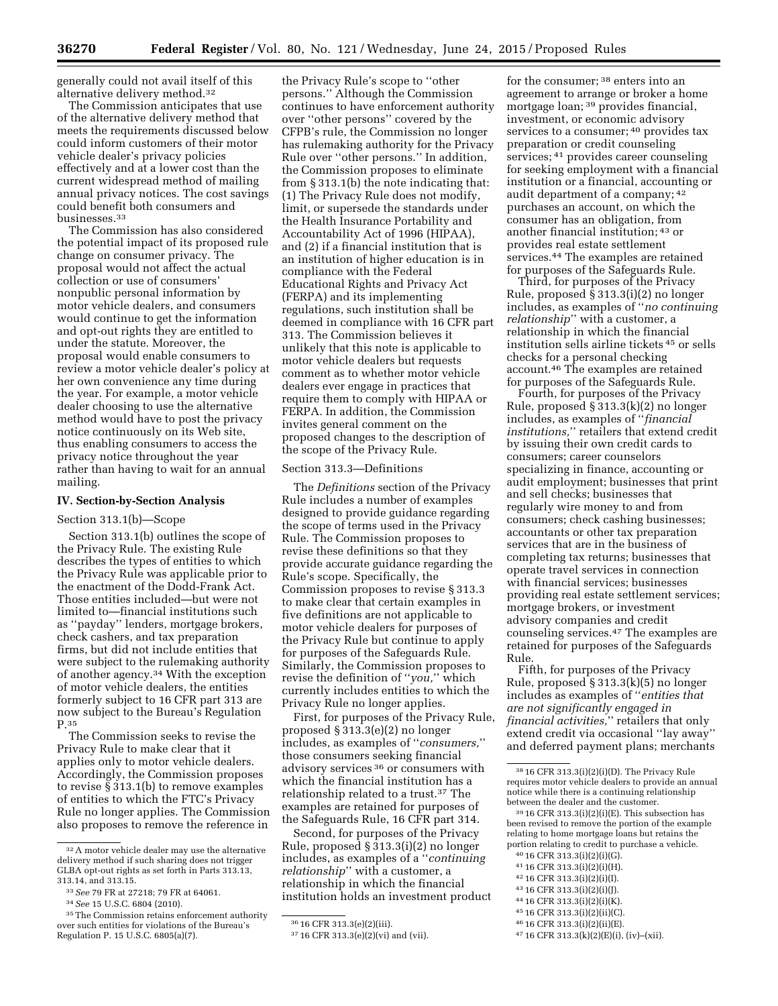generally could not avail itself of this alternative delivery method.32

The Commission anticipates that use of the alternative delivery method that meets the requirements discussed below could inform customers of their motor vehicle dealer's privacy policies effectively and at a lower cost than the current widespread method of mailing annual privacy notices. The cost savings could benefit both consumers and businesses.33

The Commission has also considered the potential impact of its proposed rule change on consumer privacy. The proposal would not affect the actual collection or use of consumers' nonpublic personal information by motor vehicle dealers, and consumers would continue to get the information and opt-out rights they are entitled to under the statute. Moreover, the proposal would enable consumers to review a motor vehicle dealer's policy at her own convenience any time during the year. For example, a motor vehicle dealer choosing to use the alternative method would have to post the privacy notice continuously on its Web site, thus enabling consumers to access the privacy notice throughout the year rather than having to wait for an annual mailing.

### **IV. Section-by-Section Analysis**

#### Section 313.1(b)—Scope

Section 313.1(b) outlines the scope of the Privacy Rule. The existing Rule describes the types of entities to which the Privacy Rule was applicable prior to the enactment of the Dodd-Frank Act. Those entities included—but were not limited to—financial institutions such as ''payday'' lenders, mortgage brokers, check cashers, and tax preparation firms, but did not include entities that were subject to the rulemaking authority of another agency.34 With the exception of motor vehicle dealers, the entities formerly subject to 16 CFR part 313 are now subject to the Bureau's Regulation P.35

The Commission seeks to revise the Privacy Rule to make clear that it applies only to motor vehicle dealers. Accordingly, the Commission proposes to revise § 313.1(b) to remove examples of entities to which the FTC's Privacy Rule no longer applies. The Commission also proposes to remove the reference in

the Privacy Rule's scope to ''other persons.'' Although the Commission continues to have enforcement authority over ''other persons'' covered by the CFPB's rule, the Commission no longer has rulemaking authority for the Privacy Rule over ''other persons.'' In addition, the Commission proposes to eliminate from § 313.1(b) the note indicating that: (1) The Privacy Rule does not modify, limit, or supersede the standards under the Health Insurance Portability and Accountability Act of 1996 (HIPAA), and (2) if a financial institution that is an institution of higher education is in compliance with the Federal Educational Rights and Privacy Act (FERPA) and its implementing regulations, such institution shall be deemed in compliance with 16 CFR part 313. The Commission believes it unlikely that this note is applicable to motor vehicle dealers but requests comment as to whether motor vehicle dealers ever engage in practices that require them to comply with HIPAA or FERPA. In addition, the Commission invites general comment on the proposed changes to the description of the scope of the Privacy Rule.

### Section 313.3—Definitions

The *Definitions* section of the Privacy Rule includes a number of examples designed to provide guidance regarding the scope of terms used in the Privacy Rule. The Commission proposes to revise these definitions so that they provide accurate guidance regarding the Rule's scope. Specifically, the Commission proposes to revise § 313.3 to make clear that certain examples in five definitions are not applicable to motor vehicle dealers for purposes of the Privacy Rule but continue to apply for purposes of the Safeguards Rule. Similarly, the Commission proposes to revise the definition of ''*you,*'' which currently includes entities to which the Privacy Rule no longer applies.

First, for purposes of the Privacy Rule, proposed § 313.3(e)(2) no longer includes, as examples of ''*consumers,*'' those consumers seeking financial advisory services 36 or consumers with which the financial institution has a relationship related to a trust.37 The examples are retained for purposes of the Safeguards Rule, 16 CFR part 314.

Second, for purposes of the Privacy Rule, proposed § 313.3(i)(2) no longer includes, as examples of a ''*continuing relationship*'' with a customer, a relationship in which the financial institution holds an investment product

for the consumer; 38 enters into an agreement to arrange or broker a home mortgage loan; 39 provides financial, investment, or economic advisory services to a consumer; 40 provides tax preparation or credit counseling services; 41 provides career counseling for seeking employment with a financial institution or a financial, accounting or audit department of a company; 42 purchases an account, on which the consumer has an obligation, from another financial institution; 43 or provides real estate settlement services.44 The examples are retained for purposes of the Safeguards Rule.

Third, for purposes of the Privacy Rule, proposed § 313.3(i)(2) no longer includes, as examples of ''*no continuing relationship*'' with a customer, a relationship in which the financial institution sells airline tickets 45 or sells checks for a personal checking account.46 The examples are retained for purposes of the Safeguards Rule.

Fourth, for purposes of the Privacy Rule, proposed § 313.3(k)(2) no longer includes, as examples of ''*financial institutions,*'' retailers that extend credit by issuing their own credit cards to consumers; career counselors specializing in finance, accounting or audit employment; businesses that print and sell checks; businesses that regularly wire money to and from consumers; check cashing businesses; accountants or other tax preparation services that are in the business of completing tax returns; businesses that operate travel services in connection with financial services; businesses providing real estate settlement services; mortgage brokers, or investment advisory companies and credit counseling services.47 The examples are retained for purposes of the Safeguards Rule.

Fifth, for purposes of the Privacy Rule, proposed § 313.3(k)(5) no longer includes as examples of ''*entities that are not significantly engaged in financial activities,*'' retailers that only extend credit via occasional ''lay away'' and deferred payment plans; merchants

 $3916$  CFR  $313.3(i)(2)(i)(E)$ . This subsection has been revised to remove the portion of the example relating to home mortgage loans but retains the portion relating to credit to purchase a vehicle.

- 40 16 CFR 313.3(i)(2)(i)(G).
- 41 16 CFR 313.3(i)(2)(i)(H).
- 42 16 CFR 313.3(i)(2)(i)(I). 43 16 CFR 313.3(i)(2)(i)(J).
- 44 16 CFR 313.3(i)(2)(i)(K).
- 45 16 CFR 313.3(i)(2)(ii)(C).

47 16 CFR 313.3(k)(2)(E)(i), (iv)–(xii).

<sup>32</sup>A motor vehicle dealer may use the alternative delivery method if such sharing does not trigger GLBA opt-out rights as set forth in Parts 313.13, 313.14, and 313.15.

<sup>33</sup>*See* 79 FR at 27218; 79 FR at 64061.

<sup>34</sup>*See* 15 U.S.C. 6804 (2010).

<sup>35</sup>The Commission retains enforcement authority over such entities for violations of the Bureau's Regulation P. 15 U.S.C. 6805(a)(7).

<sup>36</sup> 16 CFR 313.3(e)(2)(iii).

<sup>37</sup> 16 CFR 313.3(e)(2)(vi) and (vii).

<sup>38</sup> 16 CFR 313.3(i)(2)(i)(D). The Privacy Rule requires motor vehicle dealers to provide an annual notice while there is a continuing relationship between the dealer and the customer.

<sup>46</sup> 16 CFR 313.3(i)(2)(ii)(E).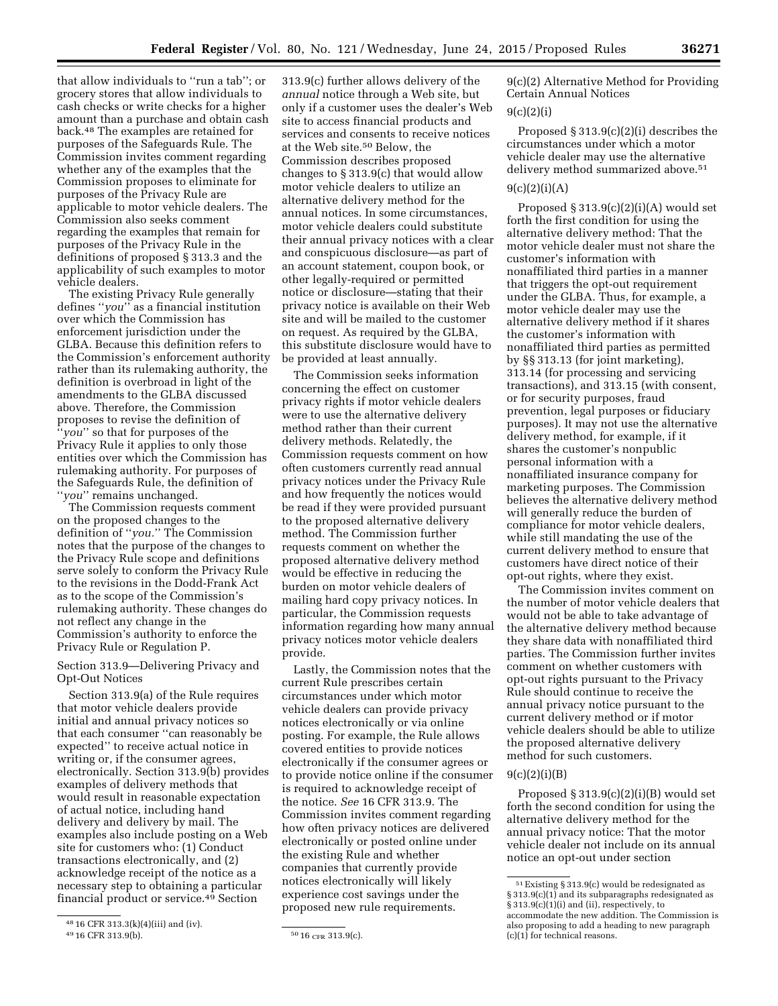that allow individuals to ''run a tab''; or grocery stores that allow individuals to cash checks or write checks for a higher amount than a purchase and obtain cash back.48 The examples are retained for purposes of the Safeguards Rule. The Commission invites comment regarding whether any of the examples that the Commission proposes to eliminate for purposes of the Privacy Rule are applicable to motor vehicle dealers. The Commission also seeks comment regarding the examples that remain for purposes of the Privacy Rule in the definitions of proposed § 313.3 and the applicability of such examples to motor

vehicle dealers. The existing Privacy Rule generally defines ''*you*'' as a financial institution over which the Commission has enforcement jurisdiction under the GLBA. Because this definition refers to the Commission's enforcement authority rather than its rulemaking authority, the definition is overbroad in light of the amendments to the GLBA discussed above. Therefore, the Commission proposes to revise the definition of ''*you*'' so that for purposes of the Privacy Rule it applies to only those entities over which the Commission has rulemaking authority. For purposes of the Safeguards Rule, the definition of ''*you*'' remains unchanged.

The Commission requests comment on the proposed changes to the definition of ''*you.*'' The Commission notes that the purpose of the changes to the Privacy Rule scope and definitions serve solely to conform the Privacy Rule to the revisions in the Dodd-Frank Act as to the scope of the Commission's rulemaking authority. These changes do not reflect any change in the Commission's authority to enforce the Privacy Rule or Regulation P.

Section 313.9—Delivering Privacy and Opt-Out Notices

Section 313.9(a) of the Rule requires that motor vehicle dealers provide initial and annual privacy notices so that each consumer ''can reasonably be expected'' to receive actual notice in writing or, if the consumer agrees, electronically. Section 313.9(b) provides examples of delivery methods that would result in reasonable expectation of actual notice, including hand delivery and delivery by mail. The examples also include posting on a Web site for customers who: (1) Conduct transactions electronically, and (2) acknowledge receipt of the notice as a necessary step to obtaining a particular financial product or service.49 Section

313.9(c) further allows delivery of the *annual* notice through a Web site, but only if a customer uses the dealer's Web site to access financial products and services and consents to receive notices at the Web site.50 Below, the Commission describes proposed changes to § 313.9(c) that would allow motor vehicle dealers to utilize an alternative delivery method for the annual notices. In some circumstances, motor vehicle dealers could substitute their annual privacy notices with a clear and conspicuous disclosure—as part of an account statement, coupon book, or other legally-required or permitted notice or disclosure—stating that their privacy notice is available on their Web site and will be mailed to the customer on request. As required by the GLBA, this substitute disclosure would have to be provided at least annually.

The Commission seeks information concerning the effect on customer privacy rights if motor vehicle dealers were to use the alternative delivery method rather than their current delivery methods. Relatedly, the Commission requests comment on how often customers currently read annual privacy notices under the Privacy Rule and how frequently the notices would be read if they were provided pursuant to the proposed alternative delivery method. The Commission further requests comment on whether the proposed alternative delivery method would be effective in reducing the burden on motor vehicle dealers of mailing hard copy privacy notices. In particular, the Commission requests information regarding how many annual privacy notices motor vehicle dealers provide.

Lastly, the Commission notes that the current Rule prescribes certain circumstances under which motor vehicle dealers can provide privacy notices electronically or via online posting. For example, the Rule allows covered entities to provide notices electronically if the consumer agrees or to provide notice online if the consumer is required to acknowledge receipt of the notice. *See* 16 CFR 313.9. The Commission invites comment regarding how often privacy notices are delivered electronically or posted online under the existing Rule and whether companies that currently provide notices electronically will likely experience cost savings under the proposed new rule requirements.

9(c)(2) Alternative Method for Providing Certain Annual Notices 9(c)(2)(i)

# Proposed § 313.9(c)(2)(i) describes the circumstances under which a motor vehicle dealer may use the alternative delivery method summarized above.51

### $9(c)(2)(i)(A)$

Proposed § 313.9(c)(2)(i)(A) would set forth the first condition for using the alternative delivery method: That the motor vehicle dealer must not share the customer's information with nonaffiliated third parties in a manner that triggers the opt-out requirement under the GLBA. Thus, for example, a motor vehicle dealer may use the alternative delivery method if it shares the customer's information with nonaffiliated third parties as permitted by §§ 313.13 (for joint marketing), 313.14 (for processing and servicing transactions), and 313.15 (with consent, or for security purposes, fraud prevention, legal purposes or fiduciary purposes). It may not use the alternative delivery method, for example, if it shares the customer's nonpublic personal information with a nonaffiliated insurance company for marketing purposes. The Commission believes the alternative delivery method will generally reduce the burden of compliance for motor vehicle dealers, while still mandating the use of the current delivery method to ensure that customers have direct notice of their opt-out rights, where they exist.

The Commission invites comment on the number of motor vehicle dealers that would not be able to take advantage of the alternative delivery method because they share data with nonaffiliated third parties. The Commission further invites comment on whether customers with opt-out rights pursuant to the Privacy Rule should continue to receive the annual privacy notice pursuant to the current delivery method or if motor vehicle dealers should be able to utilize the proposed alternative delivery method for such customers.

### $9(c)(2)(i)(B)$

Proposed  $§$  313.9(c)(2)(i)(B) would set forth the second condition for using the alternative delivery method for the annual privacy notice: That the motor vehicle dealer not include on its annual notice an opt-out under section

<sup>48</sup> 16 CFR 313.3(k)(4)(iii) and (iv).

<sup>49 16</sup> CFR 313.9(b).  $5016$  CFR 313.9(c).

<sup>51</sup>Existing § 313.9(c) would be redesignated as § 313.9(c)(1) and its subparagraphs redesignated as § 313.9(c)(1)(i) and (ii), respectively, to accommodate the new addition. The Commission is also proposing to add a heading to new paragraph  $(c)(1)$  for technical reasons.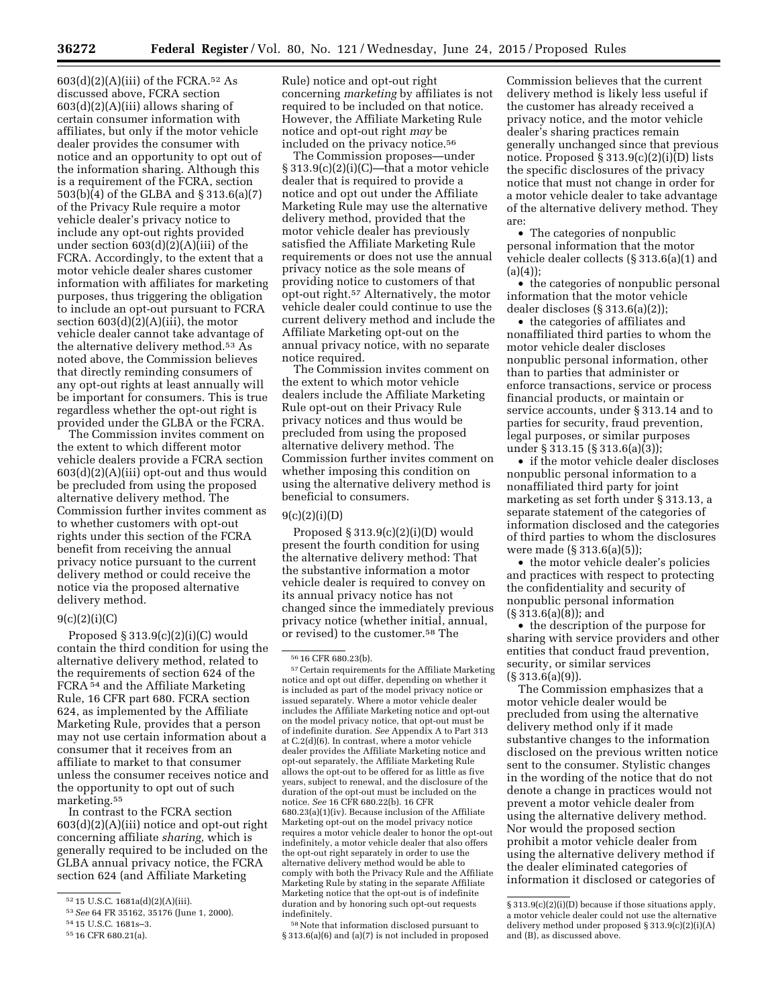$603(d)(2)(A)(iii)$  of the FCRA.<sup>52</sup> As discussed above, FCRA section  $603(d)(2)(A)(iii)$  allows sharing of certain consumer information with affiliates, but only if the motor vehicle dealer provides the consumer with notice and an opportunity to opt out of the information sharing. Although this is a requirement of the FCRA, section 503(b)(4) of the GLBA and § 313.6(a)(7) of the Privacy Rule require a motor vehicle dealer's privacy notice to include any opt-out rights provided under section 603(d)(2)(A)(iii) of the FCRA. Accordingly, to the extent that a motor vehicle dealer shares customer information with affiliates for marketing purposes, thus triggering the obligation to include an opt-out pursuant to FCRA section  $603(d)(2)(A)(iii)$ , the motor vehicle dealer cannot take advantage of the alternative delivery method.53 As noted above, the Commission believes that directly reminding consumers of any opt-out rights at least annually will be important for consumers. This is true regardless whether the opt-out right is provided under the GLBA or the FCRA.

The Commission invites comment on the extent to which different motor vehicle dealers provide a FCRA section 603(d)(2)(A)(iii) opt-out and thus would be precluded from using the proposed alternative delivery method. The Commission further invites comment as to whether customers with opt-out rights under this section of the FCRA benefit from receiving the annual privacy notice pursuant to the current delivery method or could receive the notice via the proposed alternative delivery method.

### $9(c)(2)(i)(C)$

Proposed  $§ 313.9(c)(2)(i)(C)$  would contain the third condition for using the alternative delivery method, related to the requirements of section 624 of the FCRA 54 and the Affiliate Marketing Rule, 16 CFR part 680. FCRA section 624, as implemented by the Affiliate Marketing Rule, provides that a person may not use certain information about a consumer that it receives from an affiliate to market to that consumer unless the consumer receives notice and the opportunity to opt out of such marketing.55

In contrast to the FCRA section 603(d)(2)(A)(iii) notice and opt-out right concerning affiliate *sharing,* which is generally required to be included on the GLBA annual privacy notice, the FCRA section 624 (and Affiliate Marketing

Rule) notice and opt-out right concerning *marketing* by affiliates is not required to be included on that notice. However, the Affiliate Marketing Rule notice and opt-out right *may* be included on the privacy notice.<sup>56</sup>

The Commission proposes—under  $\S 313.9(c)(2)(i)(C)$ —that a motor vehicle dealer that is required to provide a notice and opt out under the Affiliate Marketing Rule may use the alternative delivery method, provided that the motor vehicle dealer has previously satisfied the Affiliate Marketing Rule requirements or does not use the annual privacy notice as the sole means of providing notice to customers of that opt-out right.57 Alternatively, the motor vehicle dealer could continue to use the current delivery method and include the Affiliate Marketing opt-out on the annual privacy notice, with no separate notice required.

The Commission invites comment on the extent to which motor vehicle dealers include the Affiliate Marketing Rule opt-out on their Privacy Rule privacy notices and thus would be precluded from using the proposed alternative delivery method. The Commission further invites comment on whether imposing this condition on using the alternative delivery method is beneficial to consumers.

### $9(c)(2)(i)(D)$

Proposed  $\S 313.9(c)(2)(i)(D)$  would present the fourth condition for using the alternative delivery method: That the substantive information a motor vehicle dealer is required to convey on its annual privacy notice has not changed since the immediately previous privacy notice (whether initial, annual, or revised) to the customer.58 The

57Certain requirements for the Affiliate Marketing notice and opt out differ, depending on whether it is included as part of the model privacy notice or issued separately. Where a motor vehicle dealer includes the Affiliate Marketing notice and opt-out on the model privacy notice, that opt-out must be of indefinite duration. *See* Appendix A to Part 313 at C.2(d)(6). In contrast, where a motor vehicle dealer provides the Affiliate Marketing notice and opt-out separately, the Affiliate Marketing Rule allows the opt-out to be offered for as little as five years, subject to renewal, and the disclosure of the duration of the opt-out must be included on the notice. *See* 16 CFR 680.22(b). 16 CFR 680.23(a)(1)(iv). Because inclusion of the Affiliate Marketing opt-out on the model privacy notice requires a motor vehicle dealer to honor the opt-out indefinitely, a motor vehicle dealer that also offers the opt-out right separately in order to use the alternative delivery method would be able to comply with both the Privacy Rule and the Affiliate Marketing Rule by stating in the separate Affiliate Marketing notice that the opt-out is of indefinite duration and by honoring such opt-out requests indefinitely.

58Note that information disclosed pursuant to § 313.6(a)(6) and (a)(7) is not included in proposed Commission believes that the current delivery method is likely less useful if the customer has already received a privacy notice, and the motor vehicle dealer's sharing practices remain generally unchanged since that previous notice. Proposed § 313.9(c)(2)(i)(D) lists the specific disclosures of the privacy notice that must not change in order for a motor vehicle dealer to take advantage of the alternative delivery method. They are:

• The categories of nonpublic personal information that the motor vehicle dealer collects (§ 313.6(a)(1) and  $(a)(4)$ ;

• the categories of nonpublic personal information that the motor vehicle dealer discloses (§ 313.6(a)(2));

• the categories of affiliates and nonaffiliated third parties to whom the motor vehicle dealer discloses nonpublic personal information, other than to parties that administer or enforce transactions, service or process financial products, or maintain or service accounts, under § 313.14 and to parties for security, fraud prevention, legal purposes, or similar purposes under § 313.15 (§ 313.6(a)(3));

• if the motor vehicle dealer discloses nonpublic personal information to a nonaffiliated third party for joint marketing as set forth under § 313.13, a separate statement of the categories of information disclosed and the categories of third parties to whom the disclosures were made (§ 313.6(a)(5));

• the motor vehicle dealer's policies and practices with respect to protecting the confidentiality and security of nonpublic personal information (§ 313.6(a)(8)); and

• the description of the purpose for sharing with service providers and other entities that conduct fraud prevention, security, or similar services (§ 313.6(a)(9)).

The Commission emphasizes that a motor vehicle dealer would be precluded from using the alternative delivery method only if it made substantive changes to the information disclosed on the previous written notice sent to the consumer. Stylistic changes in the wording of the notice that do not denote a change in practices would not prevent a motor vehicle dealer from using the alternative delivery method. Nor would the proposed section prohibit a motor vehicle dealer from using the alternative delivery method if the dealer eliminated categories of information it disclosed or categories of

<sup>52</sup> 15 U.S.C. 1681a(d)(2)(A)(iii).

<sup>53</sup>*See* 64 FR 35162, 35176 (June 1, 2000).

<sup>54</sup> 15 U.S.C. 1681s–3.

<sup>55</sup> 16 CFR 680.21(a).

<sup>56</sup> 16 CFR 680.23(b).

<sup>§ 313.9(</sup>c)(2)(i)(D) because if those situations apply, a motor vehicle dealer could not use the alternative delivery method under proposed § 313.9(c)(2)(i)(A) and (B), as discussed above.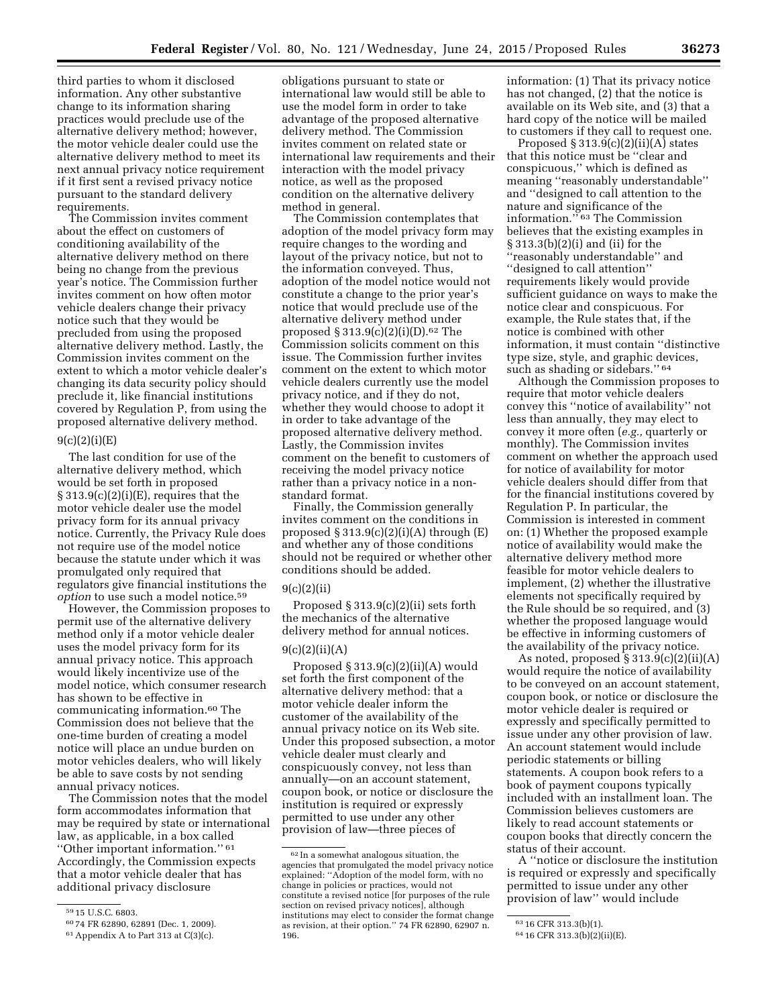third parties to whom it disclosed information. Any other substantive change to its information sharing practices would preclude use of the alternative delivery method; however, the motor vehicle dealer could use the alternative delivery method to meet its next annual privacy notice requirement if it first sent a revised privacy notice pursuant to the standard delivery requirements.

The Commission invites comment about the effect on customers of conditioning availability of the alternative delivery method on there being no change from the previous year's notice. The Commission further invites comment on how often motor vehicle dealers change their privacy notice such that they would be precluded from using the proposed alternative delivery method. Lastly, the Commission invites comment on the extent to which a motor vehicle dealer's changing its data security policy should preclude it, like financial institutions covered by Regulation P, from using the proposed alternative delivery method.

### 9(c)(2)(i)(E)

The last condition for use of the alternative delivery method, which would be set forth in proposed  $\S 313.9(c)(2)(i)(E)$ , requires that the motor vehicle dealer use the model privacy form for its annual privacy notice. Currently, the Privacy Rule does not require use of the model notice because the statute under which it was promulgated only required that regulators give financial institutions the *option* to use such a model notice.<sup>59</sup>

However, the Commission proposes to permit use of the alternative delivery method only if a motor vehicle dealer uses the model privacy form for its annual privacy notice. This approach would likely incentivize use of the model notice, which consumer research has shown to be effective in communicating information.60 The Commission does not believe that the one-time burden of creating a model notice will place an undue burden on motor vehicles dealers, who will likely be able to save costs by not sending annual privacy notices.

The Commission notes that the model form accommodates information that may be required by state or international law, as applicable, in a box called ''Other important information.'' 61 Accordingly, the Commission expects that a motor vehicle dealer that has additional privacy disclosure

obligations pursuant to state or international law would still be able to use the model form in order to take advantage of the proposed alternative delivery method. The Commission invites comment on related state or international law requirements and their interaction with the model privacy notice, as well as the proposed condition on the alternative delivery method in general.

The Commission contemplates that adoption of the model privacy form may require changes to the wording and layout of the privacy notice, but not to the information conveyed. Thus, adoption of the model notice would not constitute a change to the prior year's notice that would preclude use of the alternative delivery method under proposed  $\S 313.9(c)(2)(i)(D).62$  The Commission solicits comment on this issue. The Commission further invites comment on the extent to which motor vehicle dealers currently use the model privacy notice, and if they do not, whether they would choose to adopt it in order to take advantage of the proposed alternative delivery method. Lastly, the Commission invites comment on the benefit to customers of receiving the model privacy notice rather than a privacy notice in a nonstandard format.

Finally, the Commission generally invites comment on the conditions in proposed  $\S 313.9(c)(2)(i)(A)$  through  $(E)$ and whether any of those conditions should not be required or whether other conditions should be added.

#### $9(c)(2)(ii)$

Proposed  $\S 313.9(c)(2)(ii)$  sets forth the mechanics of the alternative delivery method for annual notices.

### $9(c)(2)(ii)(A)$

Proposed  $§$  313.9(c)(2)(ii)(A) would set forth the first component of the alternative delivery method: that a motor vehicle dealer inform the customer of the availability of the annual privacy notice on its Web site. Under this proposed subsection, a motor vehicle dealer must clearly and conspicuously convey, not less than annually—on an account statement, coupon book, or notice or disclosure the institution is required or expressly permitted to use under any other provision of law—three pieces of

information: (1) That its privacy notice has not changed, (2) that the notice is available on its Web site, and (3) that a hard copy of the notice will be mailed to customers if they call to request one.

Proposed  $\S 313.9(c)(2)(ii)(A)$  states that this notice must be ''clear and conspicuous,'' which is defined as meaning ''reasonably understandable'' and ''designed to call attention to the nature and significance of the information.'' 63 The Commission believes that the existing examples in § 313.3(b)(2)(i) and (ii) for the ''reasonably understandable'' and ''designed to call attention'' requirements likely would provide sufficient guidance on ways to make the notice clear and conspicuous. For example, the Rule states that, if the notice is combined with other information, it must contain ''distinctive type size, style, and graphic devices, such as shading or sidebars."<sup>64</sup>

Although the Commission proposes to require that motor vehicle dealers convey this ''notice of availability'' not less than annually, they may elect to convey it more often (*e.g.,* quarterly or monthly). The Commission invites comment on whether the approach used for notice of availability for motor vehicle dealers should differ from that for the financial institutions covered by Regulation P. In particular, the Commission is interested in comment on: (1) Whether the proposed example notice of availability would make the alternative delivery method more feasible for motor vehicle dealers to implement, (2) whether the illustrative elements not specifically required by the Rule should be so required, and (3) whether the proposed language would be effective in informing customers of the availability of the privacy notice.

As noted, proposed  $\S 313.9(c)(2)(ii)(A)$ would require the notice of availability to be conveyed on an account statement, coupon book, or notice or disclosure the motor vehicle dealer is required or expressly and specifically permitted to issue under any other provision of law. An account statement would include periodic statements or billing statements. A coupon book refers to a book of payment coupons typically included with an installment loan. The Commission believes customers are likely to read account statements or coupon books that directly concern the status of their account.

A ''notice or disclosure the institution is required or expressly and specifically permitted to issue under any other provision of law'' would include

<sup>59</sup> 15 U.S.C. 6803.

<sup>60</sup> 74 FR 62890, 62891 (Dec. 1, 2009).

<sup>61</sup>Appendix A to Part 313 at C(3)(c).

<sup>62</sup> In a somewhat analogous situation, the agencies that promulgated the model privacy notice explained: ''Adoption of the model form, with no change in policies or practices, would not constitute a revised notice [for purposes of the rule section on revised privacy notices], although institutions may elect to consider the format change as revision, at their option.'' 74 FR 62890, 62907 n. 196.

<sup>63</sup> 16 CFR 313.3(b)(1).

<sup>64</sup> 16 CFR 313.3(b)(2)(ii)(E).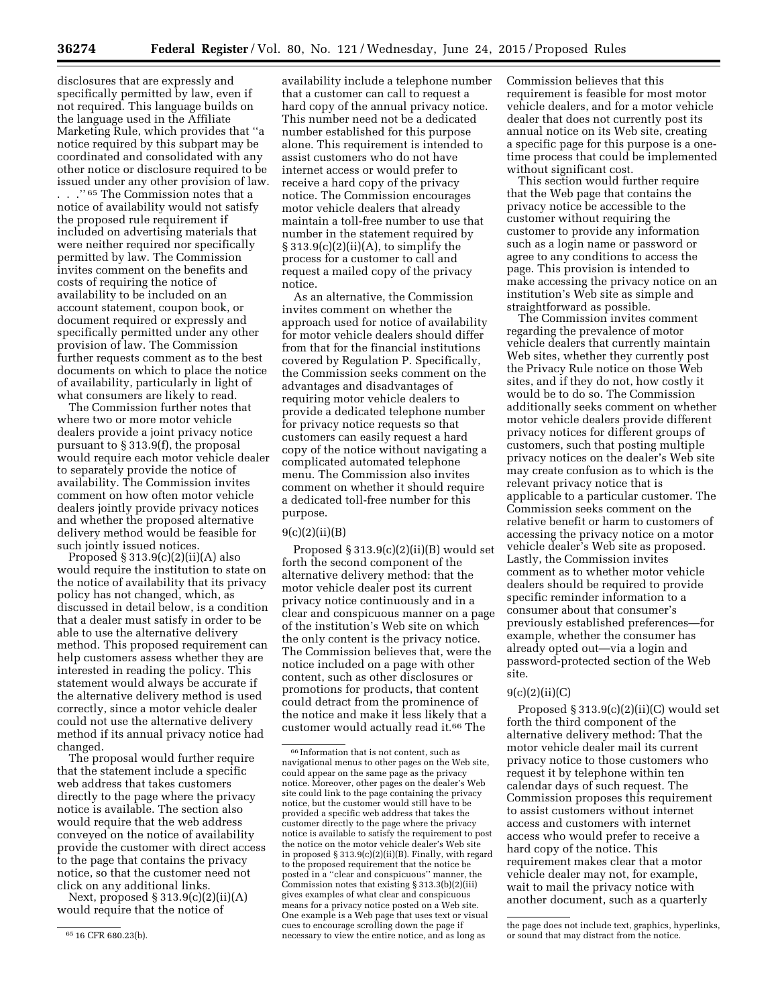disclosures that are expressly and specifically permitted by law, even if not required. This language builds on the language used in the Affiliate Marketing Rule, which provides that ''a notice required by this subpart may be coordinated and consolidated with any other notice or disclosure required to be issued under any other provision of law. . . .'' 65 The Commission notes that a notice of availability would not satisfy the proposed rule requirement if included on advertising materials that were neither required nor specifically permitted by law. The Commission invites comment on the benefits and costs of requiring the notice of availability to be included on an account statement, coupon book, or document required or expressly and specifically permitted under any other provision of law. The Commission further requests comment as to the best documents on which to place the notice of availability, particularly in light of what consumers are likely to read.

The Commission further notes that where two or more motor vehicle dealers provide a joint privacy notice pursuant to § 313.9(f), the proposal would require each motor vehicle dealer to separately provide the notice of availability. The Commission invites comment on how often motor vehicle dealers jointly provide privacy notices and whether the proposed alternative delivery method would be feasible for such jointly issued notices.

Proposed  $§ 313.9(c)(2)(ii)(A)$  also would require the institution to state on the notice of availability that its privacy policy has not changed, which, as discussed in detail below, is a condition that a dealer must satisfy in order to be able to use the alternative delivery method. This proposed requirement can help customers assess whether they are interested in reading the policy. This statement would always be accurate if the alternative delivery method is used correctly, since a motor vehicle dealer could not use the alternative delivery method if its annual privacy notice had changed.

The proposal would further require that the statement include a specific web address that takes customers directly to the page where the privacy notice is available. The section also would require that the web address conveyed on the notice of availability provide the customer with direct access to the page that contains the privacy notice, so that the customer need not click on any additional links.

Next, proposed  $\S 313.9(c)(2)(ii)(A)$ would require that the notice of

availability include a telephone number that a customer can call to request a hard copy of the annual privacy notice. This number need not be a dedicated number established for this purpose alone. This requirement is intended to assist customers who do not have internet access or would prefer to receive a hard copy of the privacy notice. The Commission encourages motor vehicle dealers that already maintain a toll-free number to use that number in the statement required by  $\S 313.9(c)(2)(ii)(A)$ , to simplify the process for a customer to call and request a mailed copy of the privacy notice.

As an alternative, the Commission invites comment on whether the approach used for notice of availability for motor vehicle dealers should differ from that for the financial institutions covered by Regulation P. Specifically, the Commission seeks comment on the advantages and disadvantages of requiring motor vehicle dealers to provide a dedicated telephone number for privacy notice requests so that customers can easily request a hard copy of the notice without navigating a complicated automated telephone menu. The Commission also invites comment on whether it should require a dedicated toll-free number for this purpose.

#### $9(c)(2)(ii)(B)$

Proposed § 313.9(c)(2)(ii)(B) would set forth the second component of the alternative delivery method: that the motor vehicle dealer post its current privacy notice continuously and in a clear and conspicuous manner on a page of the institution's Web site on which the only content is the privacy notice. The Commission believes that, were the notice included on a page with other content, such as other disclosures or promotions for products, that content could detract from the prominence of the notice and make it less likely that a customer would actually read it.66 The

Commission believes that this requirement is feasible for most motor vehicle dealers, and for a motor vehicle dealer that does not currently post its annual notice on its Web site, creating a specific page for this purpose is a onetime process that could be implemented without significant cost.

This section would further require that the Web page that contains the privacy notice be accessible to the customer without requiring the customer to provide any information such as a login name or password or agree to any conditions to access the page. This provision is intended to make accessing the privacy notice on an institution's Web site as simple and straightforward as possible.

The Commission invites comment regarding the prevalence of motor vehicle dealers that currently maintain Web sites, whether they currently post the Privacy Rule notice on those Web sites, and if they do not, how costly it would be to do so. The Commission additionally seeks comment on whether motor vehicle dealers provide different privacy notices for different groups of customers, such that posting multiple privacy notices on the dealer's Web site may create confusion as to which is the relevant privacy notice that is applicable to a particular customer. The Commission seeks comment on the relative benefit or harm to customers of accessing the privacy notice on a motor vehicle dealer's Web site as proposed. Lastly, the Commission invites comment as to whether motor vehicle dealers should be required to provide specific reminder information to a consumer about that consumer's previously established preferences—for example, whether the consumer has already opted out—via a login and password-protected section of the Web site.

#### $9(c)(2)(ii)(C)$

Proposed § 313.9(c)(2)(ii)(C) would set forth the third component of the alternative delivery method: That the motor vehicle dealer mail its current privacy notice to those customers who request it by telephone within ten calendar days of such request. The Commission proposes this requirement to assist customers without internet access and customers with internet access who would prefer to receive a hard copy of the notice. This requirement makes clear that a motor vehicle dealer may not, for example, wait to mail the privacy notice with another document, such as a quarterly

<sup>65</sup> 16 CFR 680.23(b).

<sup>66</sup> Information that is not content, such as navigational menus to other pages on the Web site, could appear on the same page as the privacy notice. Moreover, other pages on the dealer's Web site could link to the page containing the privacy notice, but the customer would still have to be provided a specific web address that takes the customer directly to the page where the privacy notice is available to satisfy the requirement to post the notice on the motor vehicle dealer's Web site in proposed § 313.9(c)(2)(ii)(B). Finally, with regard to the proposed requirement that the notice be posted in a ''clear and conspicuous'' manner, the Commission notes that existing § 313.3(b)(2)(iii) gives examples of what clear and conspicuous means for a privacy notice posted on a Web site. One example is a Web page that uses text or visual cues to encourage scrolling down the page if necessary to view the entire notice, and as long as

the page does not include text, graphics, hyperlinks, or sound that may distract from the notice.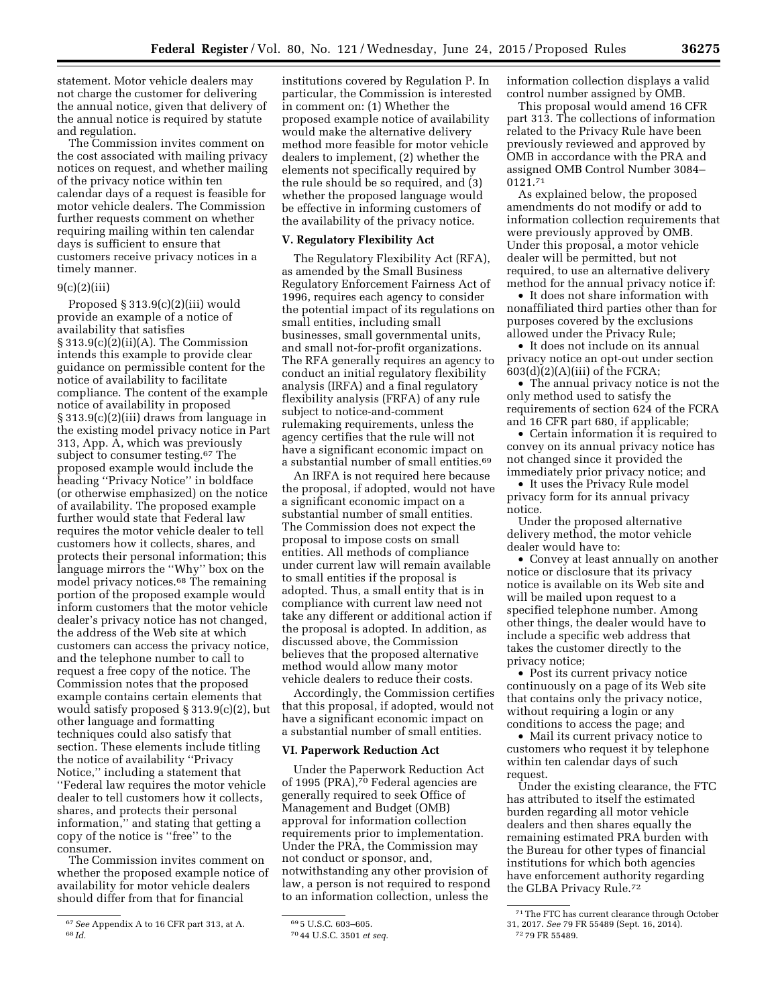statement. Motor vehicle dealers may not charge the customer for delivering the annual notice, given that delivery of the annual notice is required by statute

and regulation. The Commission invites comment on the cost associated with mailing privacy notices on request, and whether mailing of the privacy notice within ten calendar days of a request is feasible for motor vehicle dealers. The Commission further requests comment on whether requiring mailing within ten calendar days is sufficient to ensure that customers receive privacy notices in a timely manner.

# 9(c)(2)(iii)

Proposed § 313.9(c)(2)(iii) would provide an example of a notice of availability that satisfies § 313.9(c)(2)(ii)(A). The Commission intends this example to provide clear guidance on permissible content for the notice of availability to facilitate compliance. The content of the example notice of availability in proposed § 313.9(c)(2)(iii) draws from language in the existing model privacy notice in Part 313, App. A, which was previously subject to consumer testing.67 The proposed example would include the heading ''Privacy Notice'' in boldface (or otherwise emphasized) on the notice of availability. The proposed example further would state that Federal law requires the motor vehicle dealer to tell customers how it collects, shares, and protects their personal information; this language mirrors the ''Why'' box on the model privacy notices.<sup>68</sup> The remaining portion of the proposed example would inform customers that the motor vehicle dealer's privacy notice has not changed, the address of the Web site at which customers can access the privacy notice, and the telephone number to call to request a free copy of the notice. The Commission notes that the proposed example contains certain elements that would satisfy proposed § 313.9(c)(2), but other language and formatting techniques could also satisfy that section. These elements include titling the notice of availability ''Privacy Notice,'' including a statement that ''Federal law requires the motor vehicle dealer to tell customers how it collects, shares, and protects their personal information,'' and stating that getting a copy of the notice is ''free'' to the consumer.

The Commission invites comment on whether the proposed example notice of availability for motor vehicle dealers should differ from that for financial

institutions covered by Regulation P. In particular, the Commission is interested in comment on: (1) Whether the proposed example notice of availability would make the alternative delivery method more feasible for motor vehicle dealers to implement, (2) whether the elements not specifically required by the rule should be so required, and (3) whether the proposed language would be effective in informing customers of the availability of the privacy notice.

#### **V. Regulatory Flexibility Act**

The Regulatory Flexibility Act (RFA), as amended by the Small Business Regulatory Enforcement Fairness Act of 1996, requires each agency to consider the potential impact of its regulations on small entities, including small businesses, small governmental units, and small not-for-profit organizations. The RFA generally requires an agency to conduct an initial regulatory flexibility analysis (IRFA) and a final regulatory flexibility analysis (FRFA) of any rule subject to notice-and-comment rulemaking requirements, unless the agency certifies that the rule will not have a significant economic impact on a substantial number of small entities.69

An IRFA is not required here because the proposal, if adopted, would not have a significant economic impact on a substantial number of small entities. The Commission does not expect the proposal to impose costs on small entities. All methods of compliance under current law will remain available to small entities if the proposal is adopted. Thus, a small entity that is in compliance with current law need not take any different or additional action if the proposal is adopted. In addition, as discussed above, the Commission believes that the proposed alternative method would allow many motor vehicle dealers to reduce their costs.

Accordingly, the Commission certifies that this proposal, if adopted, would not have a significant economic impact on a substantial number of small entities.

#### **VI. Paperwork Reduction Act**

Under the Paperwork Reduction Act of 1995 (PRA),<sup>70</sup> Federal agencies are generally required to seek Office of Management and Budget (OMB) approval for information collection requirements prior to implementation. Under the PRA, the Commission may not conduct or sponsor, and, notwithstanding any other provision of law, a person is not required to respond to an information collection, unless the

information collection displays a valid control number assigned by OMB.

This proposal would amend 16 CFR part 313. The collections of information related to the Privacy Rule have been previously reviewed and approved by OMB in accordance with the PRA and assigned OMB Control Number 3084– 0121.71

As explained below, the proposed amendments do not modify or add to information collection requirements that were previously approved by OMB. Under this proposal, a motor vehicle dealer will be permitted, but not required, to use an alternative delivery method for the annual privacy notice if:

• It does not share information with nonaffiliated third parties other than for purposes covered by the exclusions allowed under the Privacy Rule;

• It does not include on its annual privacy notice an opt-out under section  $603(d)(2)(A)(iii)$  of the FCRA;

• The annual privacy notice is not the only method used to satisfy the requirements of section 624 of the FCRA and 16 CFR part 680, if applicable;

• Certain information it is required to convey on its annual privacy notice has not changed since it provided the immediately prior privacy notice; and

• It uses the Privacy Rule model privacy form for its annual privacy notice.

Under the proposed alternative delivery method, the motor vehicle dealer would have to:

• Convey at least annually on another notice or disclosure that its privacy notice is available on its Web site and will be mailed upon request to a specified telephone number. Among other things, the dealer would have to include a specific web address that takes the customer directly to the privacy notice;

• Post its current privacy notice continuously on a page of its Web site that contains only the privacy notice, without requiring a login or any conditions to access the page; and

• Mail its current privacy notice to customers who request it by telephone within ten calendar days of such request.

Under the existing clearance, the FTC has attributed to itself the estimated burden regarding all motor vehicle dealers and then shares equally the remaining estimated PRA burden with the Bureau for other types of financial institutions for which both agencies have enforcement authority regarding the GLBA Privacy Rule.72

<sup>67</sup>*See* Appendix A to 16 CFR part 313, at A. 68 *Id.* 

<sup>69</sup> 5 U.S.C. 603–605.

<sup>70</sup> 44 U.S.C. 3501 *et seq.* 

<sup>71</sup>The FTC has current clearance through October 31, 2017. *See* 79 FR 55489 (Sept. 16, 2014).

<sup>72</sup> 79 FR 55489.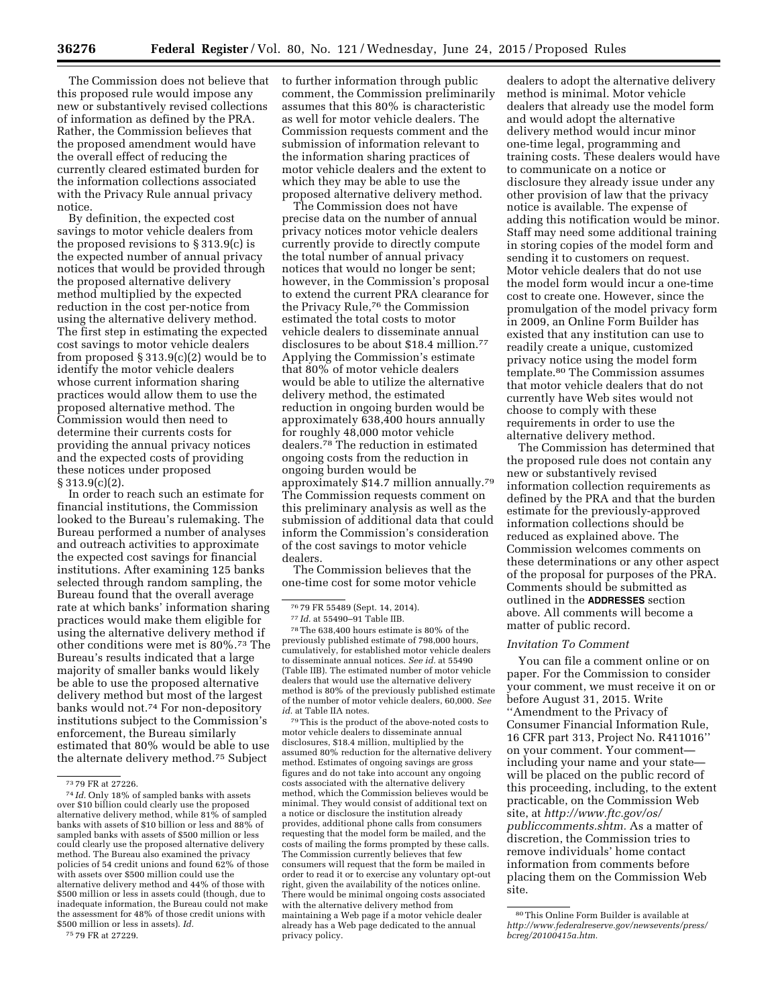The Commission does not believe that this proposed rule would impose any new or substantively revised collections of information as defined by the PRA. Rather, the Commission believes that the proposed amendment would have the overall effect of reducing the currently cleared estimated burden for the information collections associated with the Privacy Rule annual privacy notice.

By definition, the expected cost savings to motor vehicle dealers from the proposed revisions to § 313.9(c) is the expected number of annual privacy notices that would be provided through the proposed alternative delivery method multiplied by the expected reduction in the cost per-notice from using the alternative delivery method. The first step in estimating the expected cost savings to motor vehicle dealers from proposed § 313.9(c)(2) would be to identify the motor vehicle dealers whose current information sharing practices would allow them to use the proposed alternative method. The Commission would then need to determine their currents costs for providing the annual privacy notices and the expected costs of providing these notices under proposed § 313.9(c)(2).

In order to reach such an estimate for financial institutions, the Commission looked to the Bureau's rulemaking. The Bureau performed a number of analyses and outreach activities to approximate the expected cost savings for financial institutions. After examining 125 banks selected through random sampling, the Bureau found that the overall average rate at which banks' information sharing practices would make them eligible for using the alternative delivery method if other conditions were met is 80%.73 The Bureau's results indicated that a large majority of smaller banks would likely be able to use the proposed alternative delivery method but most of the largest banks would not.<sup>74</sup> For non-depository institutions subject to the Commission's enforcement, the Bureau similarly estimated that 80% would be able to use the alternate delivery method.75 Subject

75 79 FR at 27229.

to further information through public comment, the Commission preliminarily assumes that this 80% is characteristic as well for motor vehicle dealers. The Commission requests comment and the submission of information relevant to the information sharing practices of motor vehicle dealers and the extent to which they may be able to use the proposed alternative delivery method.

The Commission does not have precise data on the number of annual privacy notices motor vehicle dealers currently provide to directly compute the total number of annual privacy notices that would no longer be sent; however, in the Commission's proposal to extend the current PRA clearance for the Privacy Rule,76 the Commission estimated the total costs to motor vehicle dealers to disseminate annual disclosures to be about \$18.4 million.77 Applying the Commission's estimate that 80% of motor vehicle dealers would be able to utilize the alternative delivery method, the estimated reduction in ongoing burden would be approximately 638,400 hours annually for roughly 48,000 motor vehicle dealers.78 The reduction in estimated ongoing costs from the reduction in ongoing burden would be approximately \$14.7 million annually.79 The Commission requests comment on this preliminary analysis as well as the submission of additional data that could inform the Commission's consideration of the cost savings to motor vehicle dealers.

The Commission believes that the one-time cost for some motor vehicle

78The 638,400 hours estimate is 80% of the previously published estimate of 798,000 hours, cumulatively, for established motor vehicle dealers to disseminate annual notices. *See id.* at 55490 (Table IIB). The estimated number of motor vehicle dealers that would use the alternative delivery method is 80% of the previously published estimate of the number of motor vehicle dealers, 60,000. *See id.* at Table IIA notes.

79This is the product of the above-noted costs to motor vehicle dealers to disseminate annual disclosures, \$18.4 million, multiplied by the assumed 80% reduction for the alternative delivery method. Estimates of ongoing savings are gross figures and do not take into account any ongoing costs associated with the alternative delivery method, which the Commission believes would be minimal. They would consist of additional text on a notice or disclosure the institution already provides, additional phone calls from consumers requesting that the model form be mailed, and the costs of mailing the forms prompted by these calls. The Commission currently believes that few consumers will request that the form be mailed in order to read it or to exercise any voluntary opt-out right, given the availability of the notices online. There would be minimal ongoing costs associated with the alternative delivery method from maintaining a Web page if a motor vehicle dealer already has a Web page dedicated to the annual privacy policy.

dealers to adopt the alternative delivery method is minimal. Motor vehicle dealers that already use the model form and would adopt the alternative delivery method would incur minor one-time legal, programming and training costs. These dealers would have to communicate on a notice or disclosure they already issue under any other provision of law that the privacy notice is available. The expense of adding this notification would be minor. Staff may need some additional training in storing copies of the model form and sending it to customers on request. Motor vehicle dealers that do not use the model form would incur a one-time cost to create one. However, since the promulgation of the model privacy form in 2009, an Online Form Builder has existed that any institution can use to readily create a unique, customized privacy notice using the model form template.80 The Commission assumes that motor vehicle dealers that do not currently have Web sites would not choose to comply with these requirements in order to use the alternative delivery method.

The Commission has determined that the proposed rule does not contain any new or substantively revised information collection requirements as defined by the PRA and that the burden estimate for the previously-approved information collections should be reduced as explained above. The Commission welcomes comments on these determinations or any other aspect of the proposal for purposes of the PRA. Comments should be submitted as outlined in the **ADDRESSES** section above. All comments will become a matter of public record.

#### *Invitation To Comment*

You can file a comment online or on paper. For the Commission to consider your comment, we must receive it on or before August 31, 2015. Write ''Amendment to the Privacy of Consumer Financial Information Rule, 16 CFR part 313, Project No. R411016'' on your comment. Your comment including your name and your state will be placed on the public record of this proceeding, including, to the extent practicable, on the Commission Web site, at *[http://www.ftc.gov/os/](http://www.ftc.gov/os/publiccomments.shtm) [publiccomments.shtm.](http://www.ftc.gov/os/publiccomments.shtm)* As a matter of discretion, the Commission tries to remove individuals' home contact information from comments before placing them on the Commission Web site.

<sup>73</sup> 79 FR at 27226. 74 *Id.* Only 18% of sampled banks with assets over \$10 billion could clearly use the proposed alternative delivery method, while 81% of sampled banks with assets of \$10 billion or less and 88% of sampled banks with assets of \$500 million or less could clearly use the proposed alternative delivery method. The Bureau also examined the privacy policies of 54 credit unions and found 62% of those with assets over \$500 million could use the alternative delivery method and 44% of those with \$500 million or less in assets could (though, due to inadequate information, the Bureau could not make the assessment for 48% of those credit unions with \$500 million or less in assets). *Id.* 

<sup>76</sup> 79 FR 55489 (Sept. 14, 2014).

<sup>77</sup> *Id.* at 55490–91 Table IIB.

<sup>80</sup>This Online Form Builder is available at *[http://www.federalreserve.gov/newsevents/press/](http://www.federalreserve.gov/newsevents/press/bcreg/20100415a.htm) [bcreg/20100415a.htm.](http://www.federalreserve.gov/newsevents/press/bcreg/20100415a.htm)*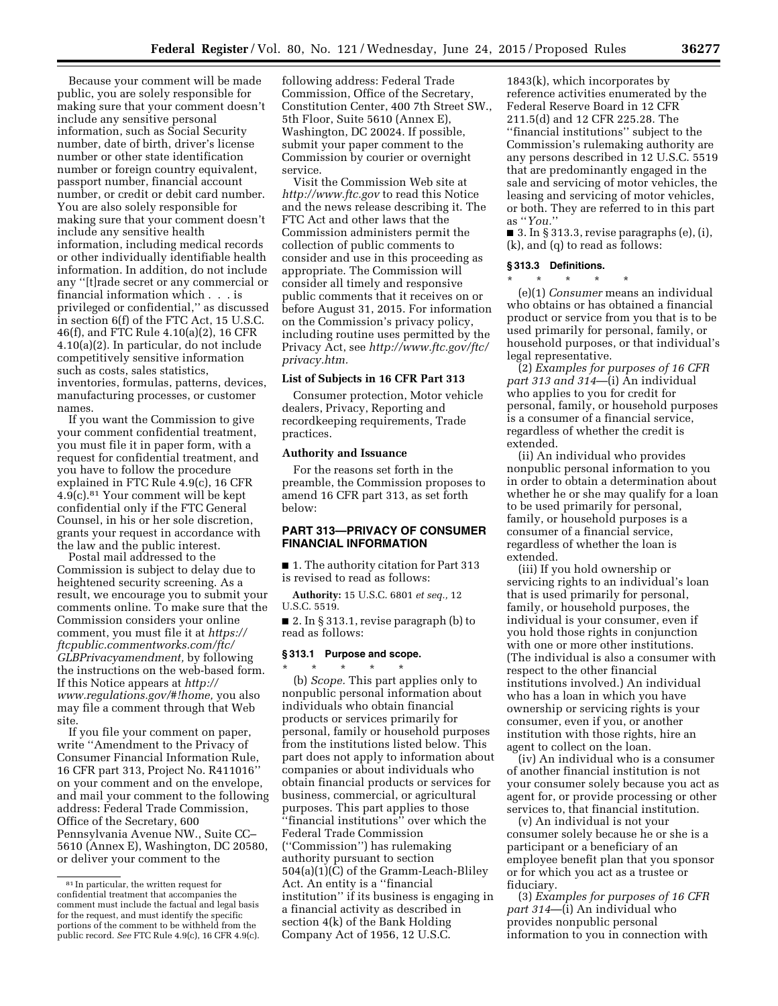Because your comment will be made public, you are solely responsible for making sure that your comment doesn't include any sensitive personal information, such as Social Security number, date of birth, driver's license number or other state identification number or foreign country equivalent, passport number, financial account number, or credit or debit card number. You are also solely responsible for making sure that your comment doesn't include any sensitive health information, including medical records or other individually identifiable health information. In addition, do not include any ''[t]rade secret or any commercial or financial information which . . . is privileged or confidential,'' as discussed in section 6(f) of the FTC Act, 15 U.S.C. 46(f), and FTC Rule 4.10(a)(2), 16 CFR 4.10(a)(2). In particular, do not include competitively sensitive information such as costs, sales statistics, inventories, formulas, patterns, devices, manufacturing processes, or customer names.

If you want the Commission to give your comment confidential treatment, you must file it in paper form, with a request for confidential treatment, and you have to follow the procedure explained in FTC Rule 4.9(c), 16 CFR 4.9(c).81 Your comment will be kept confidential only if the FTC General Counsel, in his or her sole discretion, grants your request in accordance with the law and the public interest.

Postal mail addressed to the Commission is subject to delay due to heightened security screening. As a result, we encourage you to submit your comments online. To make sure that the Commission considers your online comment, you must file it at *[https://](https://ftcpublic.commentworks.com/ftc/GLBPrivacyamendment) [ftcpublic.commentworks.com/ftc/](https://ftcpublic.commentworks.com/ftc/GLBPrivacyamendment) [GLBPrivacyamendment,](https://ftcpublic.commentworks.com/ftc/GLBPrivacyamendment)* by following the instructions on the web-based form. If this Notice appears at *[http://](http://www.regulations.gov/#!home) [www.regulations.gov/#!home,](http://www.regulations.gov/#!home)* you also may file a comment through that Web site.

If you file your comment on paper, write ''Amendment to the Privacy of Consumer Financial Information Rule, 16 CFR part 313, Project No. R411016'' on your comment and on the envelope, and mail your comment to the following address: Federal Trade Commission, Office of the Secretary, 600 Pennsylvania Avenue NW., Suite CC– 5610 (Annex E), Washington, DC 20580, or deliver your comment to the

following address: Federal Trade Commission, Office of the Secretary, Constitution Center, 400 7th Street SW., 5th Floor, Suite 5610 (Annex E), Washington, DC 20024. If possible, submit your paper comment to the Commission by courier or overnight service.

Visit the Commission Web site at *<http://www.ftc.gov>*to read this Notice and the news release describing it. The FTC Act and other laws that the Commission administers permit the collection of public comments to consider and use in this proceeding as appropriate. The Commission will consider all timely and responsive public comments that it receives on or before August 31, 2015. For information on the Commission's privacy policy, including routine uses permitted by the Privacy Act, see *[http://www.ftc.gov/ftc/](http://www.ftc.gov/ftc/privacy.htm)  [privacy.htm.](http://www.ftc.gov/ftc/privacy.htm)* 

### **List of Subjects in 16 CFR Part 313**

Consumer protection, Motor vehicle dealers, Privacy, Reporting and recordkeeping requirements, Trade practices.

### **Authority and Issuance**

For the reasons set forth in the preamble, the Commission proposes to amend 16 CFR part 313, as set forth below:

# **PART 313—PRIVACY OF CONSUMER FINANCIAL INFORMATION**

■ 1. The authority citation for Part 313 is revised to read as follows:

**Authority:** 15 U.S.C. 6801 *et seq.,* 12 U.S.C. 5519.

■ 2. In § 313.1, revise paragraph (b) to read as follows:

#### **§ 313.1 Purpose and scope.**

\* \* \* \* \* (b) *Scope.* This part applies only to nonpublic personal information about individuals who obtain financial products or services primarily for personal, family or household purposes from the institutions listed below. This part does not apply to information about companies or about individuals who obtain financial products or services for business, commercial, or agricultural purposes. This part applies to those ''financial institutions'' over which the Federal Trade Commission (''Commission'') has rulemaking authority pursuant to section 504(a)(1)(C) of the Gramm-Leach-Bliley Act. An entity is a ''financial institution'' if its business is engaging in a financial activity as described in section 4(k) of the Bank Holding Company Act of 1956, 12 U.S.C.

1843(k), which incorporates by reference activities enumerated by the Federal Reserve Board in 12 CFR 211.5(d) and 12 CFR 225.28. The ''financial institutions'' subject to the Commission's rulemaking authority are any persons described in 12 U.S.C. 5519 that are predominantly engaged in the sale and servicing of motor vehicles, the leasing and servicing of motor vehicles, or both. They are referred to in this part as ''*You.*''

 $\blacksquare$  3. In § 313.3, revise paragraphs (e), (i), (k), and (q) to read as follows:

### **§ 313.3 Definitions.**

\* \* \* \* \* (e)(1) *Consumer* means an individual who obtains or has obtained a financial product or service from you that is to be used primarily for personal, family, or

household purposes, or that individual's legal representative. (2) *Examples for purposes of 16 CFR part 313 and 314*—(i) An individual who applies to you for credit for

personal, family, or household purposes is a consumer of a financial service, regardless of whether the credit is extended.

(ii) An individual who provides nonpublic personal information to you in order to obtain a determination about whether he or she may qualify for a loan to be used primarily for personal, family, or household purposes is a consumer of a financial service, regardless of whether the loan is extended.

(iii) If you hold ownership or servicing rights to an individual's loan that is used primarily for personal, family, or household purposes, the individual is your consumer, even if you hold those rights in conjunction with one or more other institutions. (The individual is also a consumer with respect to the other financial institutions involved.) An individual who has a loan in which you have ownership or servicing rights is your consumer, even if you, or another institution with those rights, hire an agent to collect on the loan.

(iv) An individual who is a consumer of another financial institution is not your consumer solely because you act as agent for, or provide processing or other services to, that financial institution.

(v) An individual is not your consumer solely because he or she is a participant or a beneficiary of an employee benefit plan that you sponsor or for which you act as a trustee or fiduciary.

(3) *Examples for purposes of 16 CFR part 314*—(i) An individual who provides nonpublic personal information to you in connection with

<sup>81</sup> In particular, the written request for confidential treatment that accompanies the comment must include the factual and legal basis for the request, and must identify the specific portions of the comment to be withheld from the public record. *See* FTC Rule 4.9(c), 16 CFR 4.9(c).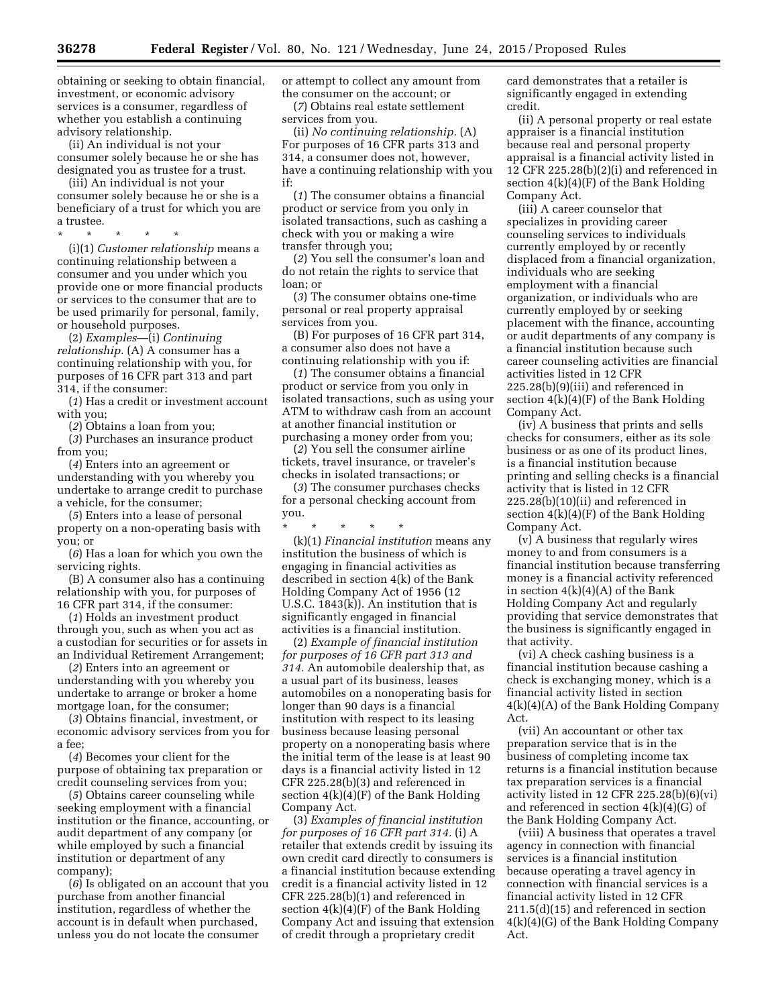obtaining or seeking to obtain financial, investment, or economic advisory services is a consumer, regardless of whether you establish a continuing advisory relationship.

(ii) An individual is not your consumer solely because he or she has designated you as trustee for a trust.

(iii) An individual is not your consumer solely because he or she is a beneficiary of a trust for which you are a trustee.

\* \* \* \* \*

(i)(1) *Customer relationship* means a continuing relationship between a consumer and you under which you provide one or more financial products or services to the consumer that are to be used primarily for personal, family, or household purposes.

(2) *Examples*—(i) *Continuing relationship.* (A) A consumer has a continuing relationship with you, for purposes of 16 CFR part 313 and part 314, if the consumer:

(*1*) Has a credit or investment account with you;

(*2*) Obtains a loan from you;

(*3*) Purchases an insurance product from you;

(*4*) Enters into an agreement or understanding with you whereby you undertake to arrange credit to purchase a vehicle, for the consumer;

(*5*) Enters into a lease of personal property on a non-operating basis with you; or

(*6*) Has a loan for which you own the servicing rights.

(B) A consumer also has a continuing relationship with you, for purposes of 16 CFR part 314, if the consumer:

(*1*) Holds an investment product through you, such as when you act as a custodian for securities or for assets in an Individual Retirement Arrangement;

(*2*) Enters into an agreement or understanding with you whereby you undertake to arrange or broker a home mortgage loan, for the consumer;

(*3*) Obtains financial, investment, or economic advisory services from you for a fee;

(*4*) Becomes your client for the purpose of obtaining tax preparation or credit counseling services from you;

(*5*) Obtains career counseling while seeking employment with a financial institution or the finance, accounting, or audit department of any company (or while employed by such a financial institution or department of any company);

(*6*) Is obligated on an account that you purchase from another financial institution, regardless of whether the account is in default when purchased, unless you do not locate the consumer

or attempt to collect any amount from the consumer on the account; or

(*7*) Obtains real estate settlement services from you.

(ii) *No continuing relationship.* (A) For purposes of 16 CFR parts 313 and 314, a consumer does not, however, have a continuing relationship with you if:

(*1*) The consumer obtains a financial product or service from you only in isolated transactions, such as cashing a check with you or making a wire transfer through you;

(*2*) You sell the consumer's loan and do not retain the rights to service that loan; or

(*3*) The consumer obtains one-time personal or real property appraisal services from you.

(B) For purposes of 16 CFR part 314, a consumer also does not have a continuing relationship with you if:

(*1*) The consumer obtains a financial product or service from you only in isolated transactions, such as using your ATM to withdraw cash from an account at another financial institution or purchasing a money order from you;

(*2*) You sell the consumer airline tickets, travel insurance, or traveler's checks in isolated transactions; or

(*3*) The consumer purchases checks for a personal checking account from you.

\* \* \* \* \* (k)(1) *Financial institution* means any institution the business of which is engaging in financial activities as described in section 4(k) of the Bank Holding Company Act of 1956 (12 U.S.C. 1843(k)). An institution that is

significantly engaged in financial

activities is a financial institution. (2) *Example of financial institution for purposes of 16 CFR part 313 and 314.* An automobile dealership that, as a usual part of its business, leases automobiles on a nonoperating basis for longer than 90 days is a financial institution with respect to its leasing business because leasing personal property on a nonoperating basis where the initial term of the lease is at least 90 days is a financial activity listed in 12 CFR 225.28(b)(3) and referenced in section 4(k)(4)(F) of the Bank Holding Company Act.

(3) *Examples of financial institution for purposes of 16 CFR part 314.* (i) A retailer that extends credit by issuing its own credit card directly to consumers is a financial institution because extending credit is a financial activity listed in 12 CFR 225.28(b)(1) and referenced in section  $4(k)(4)(F)$  of the Bank Holding Company Act and issuing that extension of credit through a proprietary credit

card demonstrates that a retailer is significantly engaged in extending credit.

(ii) A personal property or real estate appraiser is a financial institution because real and personal property appraisal is a financial activity listed in 12 CFR 225.28(b)(2)(i) and referenced in section 4(k)(4)(F) of the Bank Holding Company Act.

(iii) A career counselor that specializes in providing career counseling services to individuals currently employed by or recently displaced from a financial organization, individuals who are seeking employment with a financial organization, or individuals who are currently employed by or seeking placement with the finance, accounting or audit departments of any company is a financial institution because such career counseling activities are financial activities listed in 12 CFR 225.28(b)(9)(iii) and referenced in section  $4(k)(4)(F)$  of the Bank Holding Company Act.

(iv) A business that prints and sells checks for consumers, either as its sole business or as one of its product lines, is a financial institution because printing and selling checks is a financial activity that is listed in 12 CFR 225.28(b)(10)(ii) and referenced in section 4(k)(4)(F) of the Bank Holding Company Act.

(v) A business that regularly wires money to and from consumers is a financial institution because transferring money is a financial activity referenced in section  $4(k)(4)(A)$  of the Bank Holding Company Act and regularly providing that service demonstrates that the business is significantly engaged in that activity.

(vi) A check cashing business is a financial institution because cashing a check is exchanging money, which is a financial activity listed in section 4(k)(4)(A) of the Bank Holding Company Act.

(vii) An accountant or other tax preparation service that is in the business of completing income tax returns is a financial institution because tax preparation services is a financial activity listed in 12 CFR  $225.28(b)(6)(vi)$ and referenced in section  $4(k)(4)(G)$  of the Bank Holding Company Act.

(viii) A business that operates a travel agency in connection with financial services is a financial institution because operating a travel agency in connection with financial services is a financial activity listed in 12 CFR 211.5(d)(15) and referenced in section 4(k)(4)(G) of the Bank Holding Company Act.